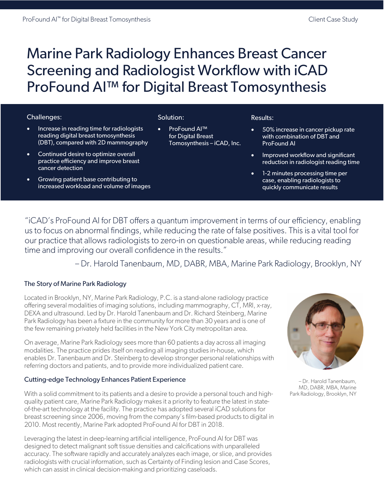# Marine Park Radiology Enhances Breast Cancer Screening and Radiologist Workflow with iCAD ProFound AI™ for Digital Breast Tomosynthesis

## Challenges:

- Increase in reading time for radiologists reading digital breast tomosynthesis (DBT), compared with 2D mammography
- Continued desire to optimize overall practice efficiency and improve breast cancer detection
- Growing patient base contributing to increased workload and volume of images

## Solution:

• ProFound AI™ for Digital Breast Tomosynthesis – iCAD, Inc.

#### Results:

- 50% increase in cancer pickup rate with combination of DBT and ProFound AI
- Improved workflow and significant reduction in radiologist reading time
- 1-2 minutes processing time per case, enabling radiologists to quickly communicate results

"iCAD's ProFound AI for DBT offers a quantum improvement in terms of our efficiency, enabling us to focus on abnormal findings, while reducing the rate of false positives. This is a vital tool for our practice that allows radiologists to zero-in on questionable areas, while reducing reading time and improving our overall confidence in the results."

– Dr. Harold Tanenbaum, MD, DABR, MBA, Marine Park Radiology, Brooklyn, NY

## The Story of Marine Park Radiology

Located in Brooklyn, NY, Marine Park Radiology, P.C. is a stand-alone radiology practice offering several modalities of imaging solutions, including mammography, CT, MRI, x-ray, DEXA and ultrasound. Led by Dr. Harold Tanenbaum and Dr. Richard Steinberg, Marine Park Radiology has been a fixture in the community for more than 30 years and is one of the few remaining privately held facilities in the New York City metropolitan area.

On average, Marine Park Radiology sees more than 60 patients a day across all imaging modalities. The practice prides itself on reading all imaging studies in-house, which enables Dr. Tanenbaum and Dr. Steinberg to develop stronger personal relationships with referring doctors and patients, and to provide more individualized patient care.

## Cutting-edge Technology Enhances Patient Experience

With a solid commitment to its patients and a desire to provide a personal touch and highquality patient care, Marine Park Radiology makes it a priority to feature the latest in stateof-the-art technology at the facility. The practice has adopted several iCAD solutions for breast screening since 2006, moving from the company's film-based products to digital in 2010. Most recently, Marine Park adopted ProFound AI for DBT in 2018.

Leveraging the latest in deep-learning artificial intelligence, ProFound AI for DBT was designed to detect malignant soft tissue densities and calcifications with unparalleled accuracy. The software rapidly and accurately analyzes each image, or slice, and provides radiologists with crucial information, such as Certainty of Finding lesion and Case Scores, which can assist in clinical decision-making and prioritizing caseloads.



– Dr. Harold Tanenbaum, MD, DABR, MBA, Marine Park Radiology, Brooklyn, NY